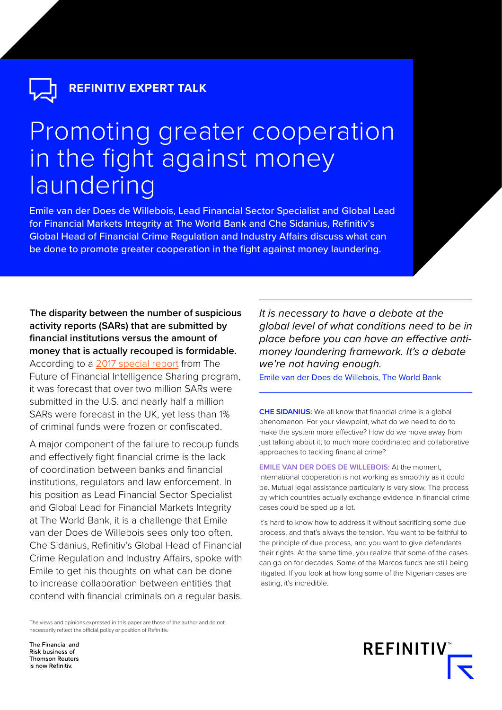**REFINITIV EXPERT TALK**

# Promoting greater cooperation in the fight against money laundering

Emile van der Does de Willebois, Lead Financial Sector Specialist and Global Lead for Financial Markets Integrity at The World Bank and Che Sidanius, Refinitiv's Global Head of Financial Crime Regulation and Industry Affairs discuss what can be done to promote greater cooperation in the fight against money laundering.

**The disparity between the number of suspicious activity reports (SARs) that are submitted by financial institutions versus the amount of money that is actually recouped is formidable.**  According to a [2017 special report](https://www.future-fis.com/uploads/3/7/9/4/3794525/ffis_infographic_storyboard.pdf) from The Future of Financial Intelligence Sharing program, it was forecast that over two million SARs were submitted in the U.S. and nearly half a million SARs were forecast in the UK, yet less than 1% of criminal funds were frozen or confiscated.

A major component of the failure to recoup funds and effectively fight financial crime is the lack of coordination between banks and financial institutions, regulators and law enforcement. In his position as Lead Financial Sector Specialist and Global Lead for Financial Markets Integrity at The World Bank, it is a challenge that Emile van der Does de Willebois sees only too often. Che Sidanius, Refinitiv's Global Head of Financial Crime Regulation and Industry Affairs, spoke with Emile to get his thoughts on what can be done to increase collaboration between entities that contend with financial criminals on a regular basis.

The views and opinions expressed in this paper are those of the author and do not necessarily reflect the official policy or position of Refinitiv.

*It is necessary to have a debate at the global level of what conditions need to be in place before you can have an effective antimoney laundering framework. It's a debate we're not having enough.* 

Emile van der Does de Willebois, The World Bank

**CHE SIDANIUS:** We all know that financial crime is a global phenomenon. For your viewpoint, what do we need to do to make the system more effective? How do we move away from just talking about it, to much more coordinated and collaborative approaches to tackling financial crime?

**EMILE VAN DER DOES DE WILLEBOIS:** At the moment, international cooperation is not working as smoothly as it could be. Mutual legal assistance particularly is very slow. The process by which countries actually exchange evidence in financial crime cases could be sped up a lot.

It's hard to know how to address it without sacrificing some due process, and that's always the tension. You want to be faithful to the principle of due process, and you want to give defendants their rights. At the same time, you realize that some of the cases can go on for decades. Some of the Marcos funds are still being litigated. If you look at how long some of the Nigerian cases are lasting, it's incredible.



The Financial and Risk business of **Thomson Reuters** is now Refinitiv.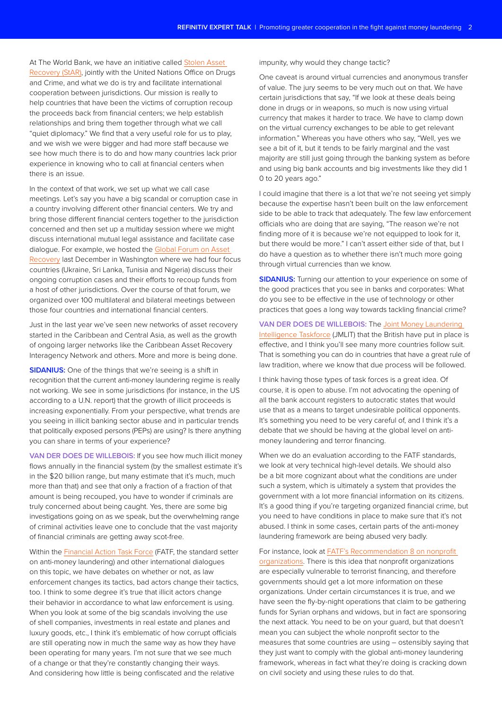At The World Bank, we have an initiative called [Stolen Asset](https://star.worldbank.org/)  [Recovery \(StAR\),](https://star.worldbank.org/) jointly with the United Nations Office on Drugs and Crime, and what we do is try and facilitate international cooperation between jurisdictions. Our mission is really to help countries that have been the victims of corruption recoup the proceeds back from financial centers; we help establish relationships and bring them together through what we call "quiet diplomacy." We find that a very useful role for us to play, and we wish we were bigger and had more staff because we see how much there is to do and how many countries lack prior experience in knowing who to call at financial centers when there is an issue.

In the context of that work, we set up what we call case meetings. Let's say you have a big scandal or corruption case in a country involving different other financial centers. We try and bring those different financial centers together to the jurisdiction concerned and then set up a multiday session where we might discuss international mutual legal assistance and facilitate case dialogue. For example, we hosted the G[lobal Forum on Asset](https://star.worldbank.org/about-us/global-forum-asset-recovery-gfar)  [Recovery](https://star.worldbank.org/about-us/global-forum-asset-recovery-gfar) last December in Washington where we had four focus countries (Ukraine, Sri Lanka, Tunisia and Nigeria) discuss their ongoing corruption cases and their efforts to recoup funds from a host of other jurisdictions. Over the course of that forum, we organized over 100 multilateral and bilateral meetings between those four countries and international financial centers.

Just in the last year we've seen new networks of asset recovery started in the Caribbean and Central Asia, as well as the growth of ongoing larger networks like the Caribbean Asset Recovery Interagency Network and others. More and more is being done.

**SIDANIUS:** One of the things that we're seeing is a shift in recognition that the current anti-money laundering regime is really not working. We see in some jurisdictions (for instance, in the US according to a U.N. report) that the growth of illicit proceeds is increasing exponentially. From your perspective, what trends are you seeing in illicit banking sector abuse and in particular trends that politically exposed persons (PEPs) are using? Is there anything you can share in terms of your experience?

**VAN DER DOES DE WILLEBOIS:** If you see how much illicit money flows annually in the financial system (by the smallest estimate it's in the \$20 billion range, but many estimate that it's much, much more than that) and see that only a fraction of a fraction of that amount is being recouped, you have to wonder if criminals are truly concerned about being caught. Yes, there are some big investigations going on as we speak, but the overwhelming range of criminal activities leave one to conclude that the vast majority of financial criminals are getting away scot-free.

Within the [Financial Action Task Force](http://www.fatf-gafi.org/about/) (FATF, the standard setter on anti-money laundering) and other international dialogues on this topic, we have debates on whether or not, as law enforcement changes its tactics, bad actors change their tactics, too. I think to some degree it's true that illicit actors change their behavior in accordance to what law enforcement is using. When you look at some of the big scandals involving the use of shell companies, investments in real estate and planes and luxury goods, etc., I think it's emblematic of how corrupt officials are still operating now in much the same way as how they have been operating for many years. I'm not sure that we see much of a change or that they're constantly changing their ways. And considering how little is being confiscated and the relative

#### impunity, why would they change tactic?

One caveat is around virtual currencies and anonymous transfer of value. The jury seems to be very much out on that. We have certain jurisdictions that say, "If we look at these deals being done in drugs or in weapons, so much is now using virtual currency that makes it harder to trace. We have to clamp down on the virtual currency exchanges to be able to get relevant information." Whereas you have others who say, "Well, yes we see a bit of it, but it tends to be fairly marginal and the vast majority are still just going through the banking system as before and using big bank accounts and big investments like they did 1 0 to 20 years ago."

I could imagine that there is a lot that we're not seeing yet simply because the expertise hasn't been built on the law enforcement side to be able to track that adequately. The few law enforcement officials who are doing that are saying, "The reason we're not finding more of it is because we're not equipped to look for it, but there would be more." I can't assert either side of that, but I do have a question as to whether there isn't much more going through virtual currencies than we know.

**SIDANIUS:** Turning our attention to your experience on some of the good practices that you see in banks and corporates: What do you see to be effective in the use of technology or other practices that goes a long way towards tackling financial crime?

### **VAN DER DOES DE WILLEBOIS:** The [Joint Money Laundering](http://www.nationalcrimeagency.gov.uk/about-us/what-we-do/economic-crime/joint-money-laundering-intelligence-taskforce-jmlit)

[Intelligence Taskforce](http://www.nationalcrimeagency.gov.uk/about-us/what-we-do/economic-crime/joint-money-laundering-intelligence-taskforce-jmlit) (JMLIT) that the British have put in place is effective, and I think you'll see many more countries follow suit. That is something you can do in countries that have a great rule of law tradition, where we know that due process will be followed.

I think having those types of task forces is a great idea. Of course, it is open to abuse. I'm not advocating the opening of all the bank account registers to autocratic states that would use that as a means to target undesirable political opponents. It's something you need to be very careful of, and I think it's a debate that we should be having at the global level on antimoney laundering and terror financing.

When we do an evaluation according to the FATF standards, we look at very technical high-level details. We should also be a bit more cognizant about what the conditions are under such a system, which is ultimately a system that provides the government with a lot more financial information on its citizens. It's a good thing if you're targeting organized financial crime, but you need to have conditions in place to make sure that it's not abused. I think in some cases, certain parts of the anti-money laundering framework are being abused very badly.

For instance, look at [FATF's Recommendation 8 on nonprofit](http://www.fatf-gafi.org/publications/fatfrecommendations/documents/bpp-combating-abuse-npo.html)  [organizations.](http://www.fatf-gafi.org/publications/fatfrecommendations/documents/bpp-combating-abuse-npo.html) There is this idea that nonprofit organizations are especially vulnerable to terrorist financing, and therefore governments should get a lot more information on these organizations. Under certain circumstances it is true, and we have seen the fly-by-night operations that claim to be gathering funds for Syrian orphans and widows, but in fact are sponsoring the next attack. You need to be on your guard, but that doesn't mean you can subject the whole nonprofit sector to the measures that some countries are using – ostensibly saying that they just want to comply with the global anti-money laundering framework, whereas in fact what they're doing is cracking down on civil society and using these rules to do that.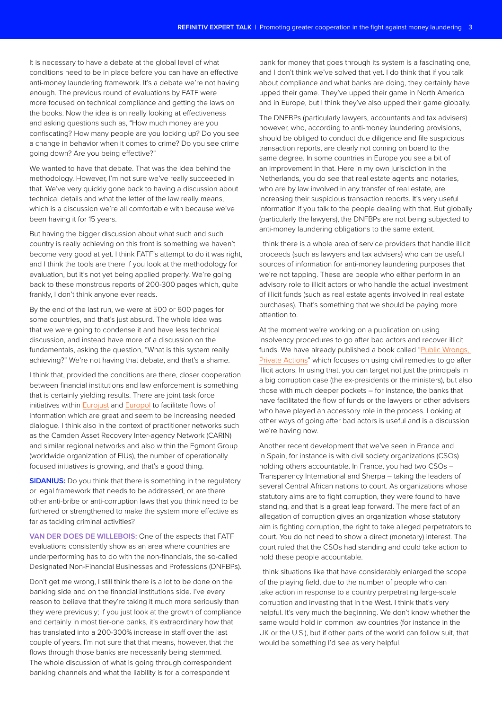It is necessary to have a debate at the global level of what conditions need to be in place before you can have an effective anti-money laundering framework. It's a debate we're not having enough. The previous round of evaluations by FATF were more focused on technical compliance and getting the laws on the books. Now the idea is on really looking at effectiveness and asking questions such as, "How much money are you confiscating? How many people are you locking up? Do you see a change in behavior when it comes to crime? Do you see crime going down? Are you being effective?"

We wanted to have that debate. That was the idea behind the methodology. However, I'm not sure we've really succeeded in that. We've very quickly gone back to having a discussion about technical details and what the letter of the law really means, which is a discussion we're all comfortable with because we've been having it for 15 years.

But having the bigger discussion about what such and such country is really achieving on this front is something we haven't become very good at yet. I think FATF's attempt to do it was right, and I think the tools are there if you look at the methodology for evaluation, but it's not yet being applied properly. We're going back to these monstrous reports of 200-300 pages which, quite frankly, I don't think anyone ever reads.

By the end of the last run, we were at 500 or 600 pages for some countries, and that's just absurd. The whole idea was that we were going to condense it and have less technical discussion, and instead have more of a discussion on the fundamentals, asking the question, "What is this system really achieving?" We're not having that debate, and that's a shame.

I think that, provided the conditions are there, closer cooperation between financial institutions and law enforcement is something that is certainly yielding results. There are joint task force initiatives within [Eurojust](http://www.eurojust.europa.eu/Pages/home.aspx) and [Europol](https://www.europol.europa.eu/) to facilitate flows of information which are great and seem to be increasing needed dialogue. I think also in the context of practitioner networks such as the Camden Asset Recovery Inter-agency Network (CARIN) and similar regional networks and also within the Egmont Group (worldwide organization of FIUs), the number of operationally focused initiatives is growing, and that's a good thing.

**SIDANIUS:** Do you think that there is something in the regulatory or legal framework that needs to be addressed, or are there other anti-bribe or anti-corruption laws that you think need to be furthered or strengthened to make the system more effective as far as tackling criminal activities?

**VAN DER DOES DE WILLEBOIS:** One of the aspects that FATF evaluations consistently show as an area where countries are underperforming has to do with the non-financials, the so-called Designated Non-Financial Businesses and Professions (DNFBPs).

Don't get me wrong, I still think there is a lot to be done on the banking side and on the financial institutions side. I've every reason to believe that they're taking it much more seriously than they were previously; if you just look at the growth of compliance and certainly in most tier-one banks, it's extraordinary how that has translated into a 200-300% increase in staff over the last couple of years. I'm not sure that that means, however, that the flows through those banks are necessarily being stemmed. The whole discussion of what is going through correspondent banking channels and what the liability is for a correspondent

bank for money that goes through its system is a fascinating one, and I don't think we've solved that yet. I do think that if you talk about compliance and what banks are doing, they certainly have upped their game. They've upped their game in North America and in Europe, but I think they've also upped their game globally.

The DNFBPs (particularly lawyers, accountants and tax advisers) however, who, according to anti-money laundering provisions. should be obliged to conduct due diligence and file suspicious transaction reports, are clearly not coming on board to the same degree. In some countries in Europe you see a bit of an improvement in that. Here in my own jurisdiction in the Netherlands, you do see that real estate agents and notaries, who are by law involved in any transfer of real estate, are increasing their suspicious transaction reports. It's very useful information if you talk to the people dealing with that. But globally (particularly the lawyers), the DNFBPs are not being subjected to anti-money laundering obligations to the same extent.

I think there is a whole area of service providers that handle illicit proceeds (such as lawyers and tax advisers) who can be useful sources of information for anti-money laundering purposes that we're not tapping. These are people who either perform in an advisory role to illicit actors or who handle the actual investment of illicit funds (such as real estate agents involved in real estate purchases). That's something that we should be paying more attention to.

At the moment we're working on a publication on using insolvency procedures to go after bad actors and recover illicit funds. We have already published a book called ["Public Wrongs,](https://star.worldbank.org/publication/public-wrongs-private-actions)  [Private Actions](https://star.worldbank.org/publication/public-wrongs-private-actions)" which focuses on using civil remedies to go after illicit actors. In using that, you can target not just the principals in a big corruption case (the ex-presidents or the ministers), but also those with much deeper pockets – for instance, the banks that have facilitated the flow of funds or the lawyers or other advisers who have played an accessory role in the process. Looking at other ways of going after bad actors is useful and is a discussion we're having now.

Another recent development that we've seen in France and in Spain, for instance is with civil society organizations (CSOs) holding others accountable. In France, you had two CSOs – Transparency International and Sherpa – taking the leaders of several Central African nations to court. As organizations whose statutory aims are to fight corruption, they were found to have standing, and that is a great leap forward. The mere fact of an allegation of corruption gives an organization whose statutory aim is fighting corruption, the right to take alleged perpetrators to court. You do not need to show a direct (monetary) interest. The court ruled that the CSOs had standing and could take action to hold these people accountable.

I think situations like that have considerably enlarged the scope of the playing field, due to the number of people who can take action in response to a country perpetrating large-scale corruption and investing that in the West. I think that's very helpful. It's very much the beginning. We don't know whether the same would hold in common law countries (for instance in the UK or the U.S.), but if other parts of the world can follow suit, that would be something I'd see as very helpful.